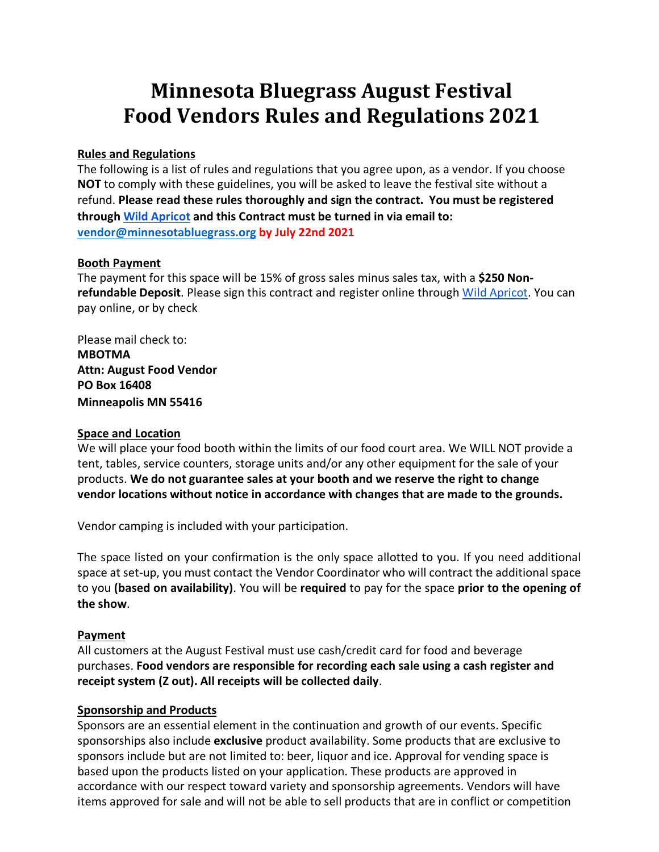# **Minnesota Bluegrass August Festival Food Vendors Rules and Regulations 2021**

## **Rules and Regulations**

The following is a list of rules and regulations that you agree upon, as a vendor. If you choose **NOT** to comply with these guidelines, you will be asked to leave the festival site without a refund. **Please read these rules thoroughly and sign the contract. You must be registered through Wild Apricot and this Contract must be turned in via email to: vendor@minnesotabluegrass.org by July 22nd 2021**

## **Booth Payment**

The payment for this space will be 15% of gross sales minus sales tax, with a **\$250 Nonrefundable Deposit**. Please sign this contract and register online through Wild Apricot. You can pay online, or by check

Please mail check to: **MBOTMA Attn: August Food Vendor PO Box 16408 Minneapolis MN 55416**

## **Space and Location**

We will place your food booth within the limits of our food court area. We WILL NOT provide a tent, tables, service counters, storage units and/or any other equipment for the sale of your products. **We do not guarantee sales at your booth and we reserve the right to change vendor locations without notice in accordance with changes that are made to the grounds.** 

Vendor camping is included with your participation.

The space listed on your confirmation is the only space allotted to you. If you need additional space at set-up, you must contact the Vendor Coordinator who will contract the additional space to you **(based on availability)**. You will be **required** to pay for the space **prior to the opening of the show**.

## **Payment**

All customers at the August Festival must use cash/credit card for food and beverage purchases. **Food vendors are responsible for recording each sale using a cash register and receipt system (Z out). All receipts will be collected daily**.

## **Sponsorship and Products**

Sponsors are an essential element in the continuation and growth of our events. Specific sponsorships also include **exclusive** product availability. Some products that are exclusive to sponsors include but are not limited to: beer, liquor and ice. Approval for vending space is based upon the products listed on your application. These products are approved in accordance with our respect toward variety and sponsorship agreements. Vendors will have items approved for sale and will not be able to sell products that are in conflict or competition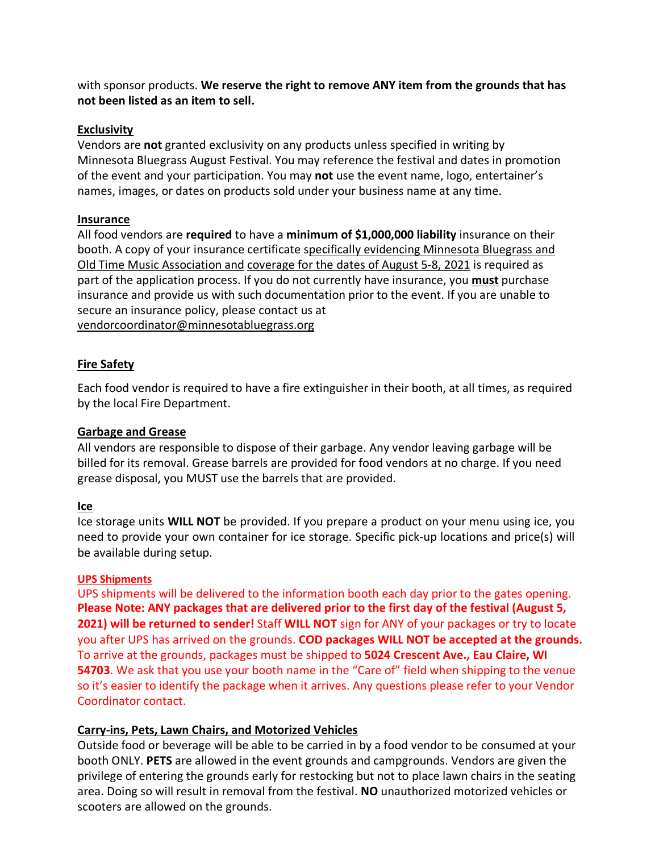with sponsor products. **We reserve the right to remove ANY item from the grounds that has not been listed as an item to sell.**

## **Exclusivity**

Vendors are **not** granted exclusivity on any products unless specified in writing by Minnesota Bluegrass August Festival. You may reference the festival and dates in promotion of the event and your participation. You may **not** use the event name, logo, entertainer's names, images, or dates on products sold under your business name at any time.

## **Insurance**

All food vendors are **required** to have a **minimum of \$1,000,000 liability** insurance on their booth. A copy of your insurance certificate specifically evidencing Minnesota Bluegrass and Old Time Music Association and coverage for the dates of August 5-8, 2021 is required as part of the application process. If you do not currently have insurance, you **must** purchase insurance and provide us with such documentation prior to the event. If you are unable to secure an insurance policy, please contact us at vendorcoordinator@minnesotabluegrass.org

## **Fire Safety**

Each food vendor is required to have a fire extinguisher in their booth, at all times, as required by the local Fire Department.

## **Garbage and Grease**

All vendors are responsible to dispose of their garbage. Any vendor leaving garbage will be billed for its removal. Grease barrels are provided for food vendors at no charge. If you need grease disposal, you MUST use the barrels that are provided.

## **Ice**

Ice storage units **WILL NOT** be provided. If you prepare a product on your menu using ice, you need to provide your own container for ice storage. Specific pick-up locations and price(s) will be available during setup.

## **UPS Shipments**

UPS shipments will be delivered to the information booth each day prior to the gates opening. **Please Note: ANY packages that are delivered prior to the first day of the festival (August 5, 2021) will be returned to sender!** Staff **WILL NOT** sign for ANY of your packages or try to locate you after UPS has arrived on the grounds. **COD packages WILL NOT be accepted at the grounds.**  To arrive at the grounds, packages must be shipped to **5024 Crescent Ave., Eau Claire, WI 54703**. We ask that you use your booth name in the "Care of" field when shipping to the venue so it's easier to identify the package when it arrives. Any questions please refer to your Vendor Coordinator contact.

## **Carry-ins, Pets, Lawn Chairs, and Motorized Vehicles**

Outside food or beverage will be able to be carried in by a food vendor to be consumed at your booth ONLY. **PETS** are allowed in the event grounds and campgrounds. Vendors are given the privilege of entering the grounds early for restocking but not to place lawn chairs in the seating area. Doing so will result in removal from the festival. **NO** unauthorized motorized vehicles or scooters are allowed on the grounds.